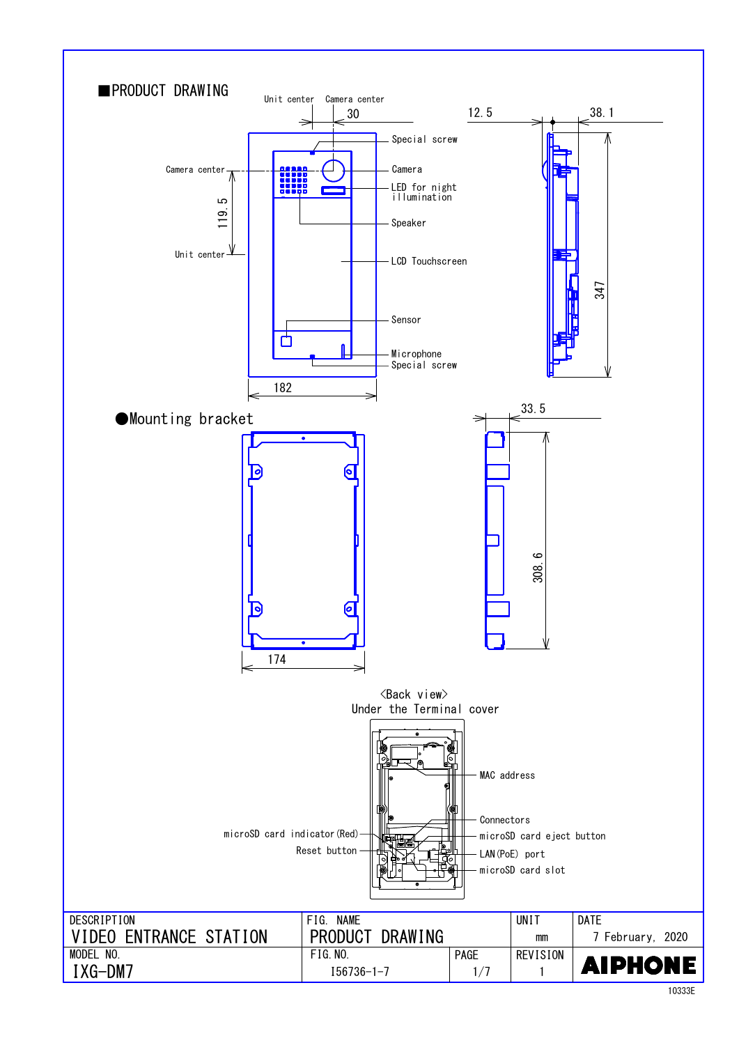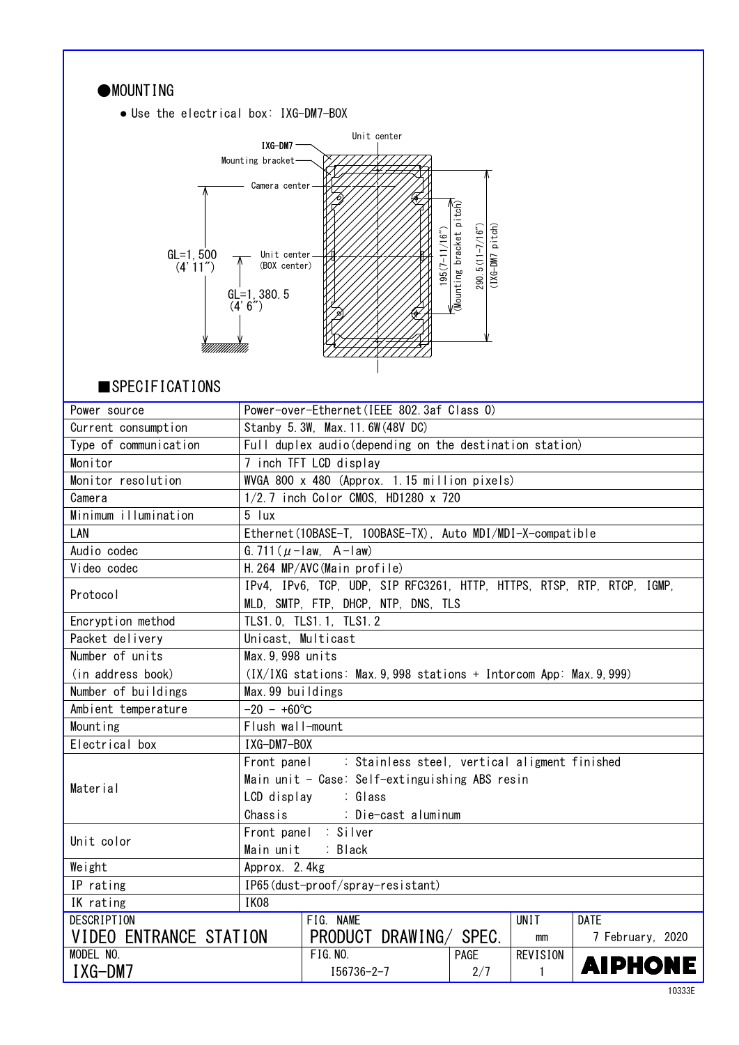| MOUNTING                              |                                                                        |                                                                     |                                                |                 |                  |  |
|---------------------------------------|------------------------------------------------------------------------|---------------------------------------------------------------------|------------------------------------------------|-----------------|------------------|--|
| • Use the electrical box: IXG-DM7-BOX |                                                                        |                                                                     |                                                |                 |                  |  |
|                                       |                                                                        | Unit center                                                         |                                                |                 |                  |  |
|                                       | IXG-DM7                                                                |                                                                     |                                                |                 |                  |  |
|                                       | Mounting bracket-                                                      |                                                                     |                                                |                 |                  |  |
|                                       | Camera center-                                                         |                                                                     |                                                |                 |                  |  |
|                                       |                                                                        |                                                                     |                                                |                 |                  |  |
|                                       |                                                                        |                                                                     | $\overline{\mathsf{M}}$ ounting bracket pitch) |                 |                  |  |
|                                       |                                                                        | $195(7 - 11/16o)$                                                   | $(XG-M7$ pitch)<br>$290.5(11 - 7/16'')$        |                 |                  |  |
| $GL=1, 500$<br>(4' 11'')              | Unit center<br>(BOX center)                                            |                                                                     |                                                |                 |                  |  |
|                                       |                                                                        |                                                                     |                                                |                 |                  |  |
|                                       | $GL=1, 380.5$                                                          |                                                                     |                                                |                 |                  |  |
|                                       | (4' 6'')                                                               |                                                                     |                                                |                 |                  |  |
|                                       |                                                                        |                                                                     |                                                |                 |                  |  |
|                                       |                                                                        |                                                                     |                                                |                 |                  |  |
|                                       |                                                                        |                                                                     |                                                |                 |                  |  |
| $\blacksquare$ SPECIFICATIONS         |                                                                        |                                                                     |                                                |                 |                  |  |
| Power source                          |                                                                        | Power-over-Ethernet (IEEE 802.3af Class 0)                          |                                                |                 |                  |  |
| Current consumption                   |                                                                        | Stanby 5.3W, Max. 11.6W (48V DC)                                    |                                                |                 |                  |  |
| Type of communication                 | Full duplex audio (depending on the destination station)               |                                                                     |                                                |                 |                  |  |
| Monitor                               | 7 inch TFT LCD display                                                 |                                                                     |                                                |                 |                  |  |
| Monitor resolution                    | WVGA 800 x 480 (Approx. 1.15 million pixels)                           |                                                                     |                                                |                 |                  |  |
| Camera                                |                                                                        | 1/2.7 inch Color CMOS, HD1280 x 720                                 |                                                |                 |                  |  |
| Minimum illumination                  | 5 lux                                                                  |                                                                     |                                                |                 |                  |  |
| LAN                                   |                                                                        | Ethernet(10BASE-T, 100BASE-TX), Auto MDI/MDI-X-compatible           |                                                |                 |                  |  |
| Audio codec                           |                                                                        | G. 711 ( $\mu$ - law, A - law)                                      |                                                |                 |                  |  |
| Video codec                           | H. 264 MP/AVC (Main profile)                                           |                                                                     |                                                |                 |                  |  |
| Protocol                              | IPv4, IPv6, TCP, UDP, SIP RFC3261, HTTP, HTTPS, RTSP, RTP, RTCP, IGMP, |                                                                     |                                                |                 |                  |  |
|                                       |                                                                        | MLD, SMTP, FTP, DHCP, NTP, DNS, TLS                                 |                                                |                 |                  |  |
| Encryption method                     |                                                                        | TLS1.0, TLS1.1, TLS1.2                                              |                                                |                 |                  |  |
| Packet delivery                       | Unicast, Multicast                                                     |                                                                     |                                                |                 |                  |  |
| Number of units                       | Max. 9, 998 units                                                      |                                                                     |                                                |                 |                  |  |
| (in address book)                     |                                                                        | (IX/IXG stations: Max. 9, 998 stations + Intorcom App: Max. 9, 999) |                                                |                 |                  |  |
| Number of buildings                   | Max. 99 buildings                                                      |                                                                     |                                                |                 |                  |  |
| Ambient temperature                   | $-20 - +60^{\circ}C$                                                   |                                                                     |                                                |                 |                  |  |
| Mounting                              | Flush wall-mount                                                       |                                                                     |                                                |                 |                  |  |
| Electrical box                        | IXG-DM7-BOX                                                            |                                                                     |                                                |                 |                  |  |
|                                       | Front panel                                                            | : Stainless steel, vertical aligment finished                       |                                                |                 |                  |  |
| Material                              |                                                                        | Main unit - Case: Self-extinguishing ABS resin                      |                                                |                 |                  |  |
|                                       | LCD display                                                            | : Glass                                                             |                                                |                 |                  |  |
|                                       | Chassis<br>: Die-cast aluminum                                         |                                                                     |                                                |                 |                  |  |
| Unit color                            | Front panel : Silver                                                   |                                                                     |                                                |                 |                  |  |
| Main unit<br>: Black                  |                                                                        |                                                                     |                                                |                 |                  |  |
| Weight                                | Approx. 2.4kg                                                          |                                                                     |                                                |                 |                  |  |
| IP rating                             |                                                                        | IP65(dust-proof/spray-resistant)                                    |                                                |                 |                  |  |
| IK rating                             | IK08                                                                   |                                                                     |                                                |                 |                  |  |
| <b>DESCRIPTION</b>                    |                                                                        | FIG. NAME                                                           |                                                | <b>UNIT</b>     | <b>DATE</b>      |  |
| VIDEO ENTRANCE STATION                |                                                                        | PRODUCT DRAWING/                                                    | SPEC.                                          | mm              | 7 February, 2020 |  |
| MODEL NO.                             |                                                                        | <b>FIG. NO.</b>                                                     | PAGE                                           | <b>REVISION</b> | <b>AIPHONE</b>   |  |
| IXG-DM7                               |                                                                        | $I56736 - 2 - 7$                                                    | 2/7                                            | $\mathbf{1}$    |                  |  |

٦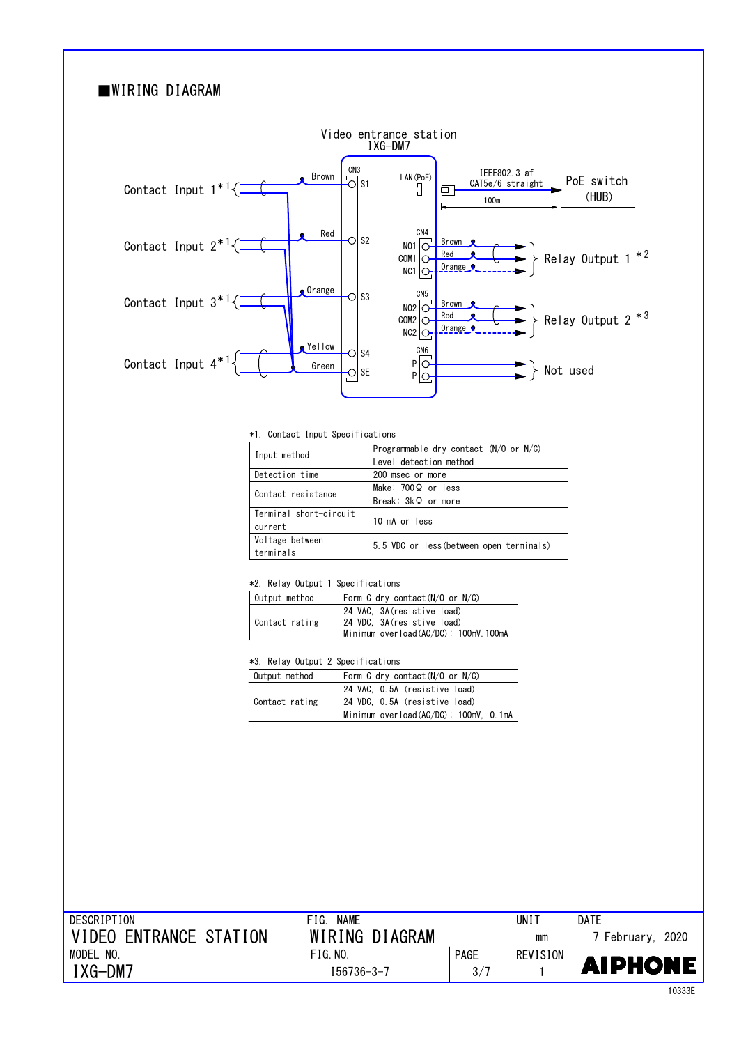# ■WIRING DIAGRAM



\*1. Contact Input Specifications

| Input method           | Programmable dry contact $(N/O$ or $N/C$ ) |  |  |  |  |
|------------------------|--------------------------------------------|--|--|--|--|
|                        | Level detection method                     |  |  |  |  |
| Detection time         | 200 msec or more                           |  |  |  |  |
| Contact resistance     | Make: $700\Omega$ or less                  |  |  |  |  |
|                        | Break: $3k\Omega$ or more                  |  |  |  |  |
| Terminal short-circuit | 10 mA or less                              |  |  |  |  |
| current                |                                            |  |  |  |  |
| Voltage between        | 5.5 VDC or less (between open terminals)   |  |  |  |  |
| terminals              |                                            |  |  |  |  |

#### \*2. Relay Output 1 Specifications

| Output method  | Form C dry contact $(N/O$ or $N/C$ )                                                                |
|----------------|-----------------------------------------------------------------------------------------------------|
| Contact rating | 24 VAC, 3A(resistive load)<br>24 VDC, 3A (resistive load)<br>Minimum overload (AC/DC): 100mV. 100mA |

### \*3. Relay Output 2 Specifications

| Output method  | Form C dry contact $(N/O$ or $N/C$ )  |  |  |  |
|----------------|---------------------------------------|--|--|--|
|                | 24 VAC, O.5A (resistive load)         |  |  |  |
| Contact rating | 24 VDC, 0.5A (resistive load)         |  |  |  |
|                | Minimum overload(AC/DC): 100mV, 0.1mA |  |  |  |

| DESCRIPTION                             | <b>NAME</b><br>FIG. |             | UNI.     | DATE              |
|-----------------------------------------|---------------------|-------------|----------|-------------------|
| <b>ENTRANCE STATION</b><br><b>VIDEO</b> | WIRING DIAGRAM      |             | mm       | 2020<br>Februarv. |
| MODEL<br>NO.                            | FIG.NO.             | <b>PAGE</b> | REVISION |                   |
| :XG-DM7                                 | 156736-3-7          | 3/7         |          | <b>AIPHONE</b>    |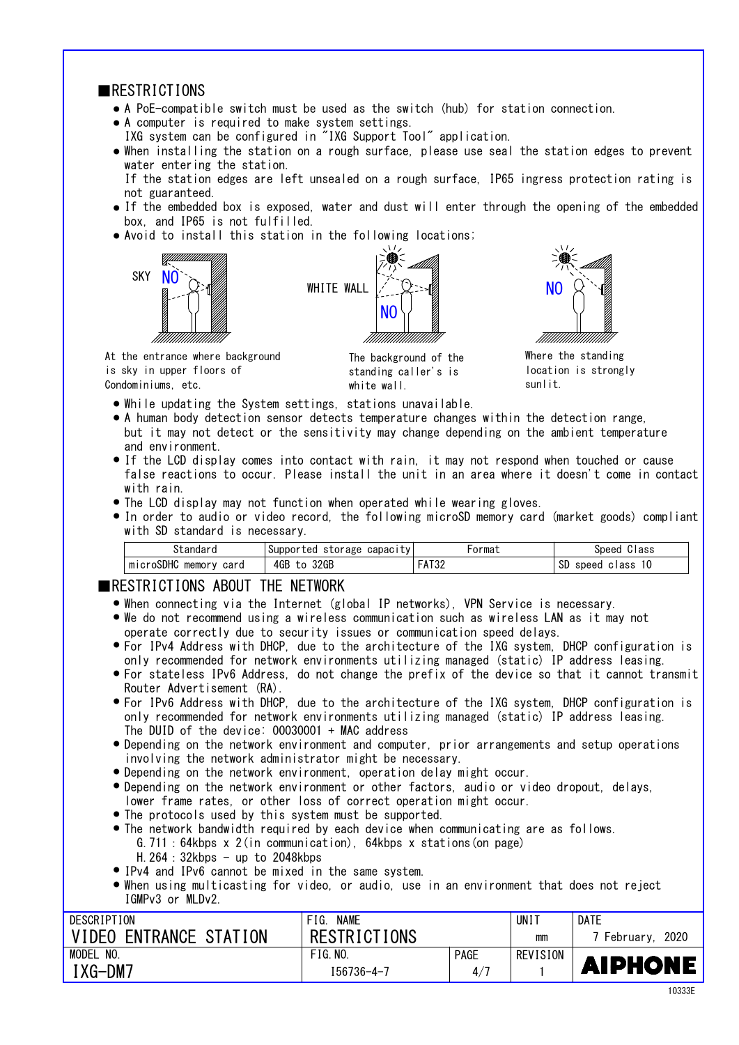### **ERESTRICTIONS**

- A PoE-compatible switch must be used as the switch (hub) for station connection. ●
- A computer is required to make system settings. ●
- IXG system can be configured in "IXG Support Tool" application.
- When installing the station on a rough surface, please use seal the station edges to prevent water entering the station. If the station edges are left unsealed on a rough surface, IP65 ingress protection rating is

not guaranteed.

- If the embedded box is exposed, water and dust will enter through the opening of the embedded box, and IP65 is not fulfilled.
- Avoid to install this station in the following locations;







Where the standing location is strongly sunlit.

At the entrance where background is sky in upper floors of Condominiums, etc.

The background of the standing caller's is white wall.

- While updating the System settings, stations unavailable.
- A human body detection sensor detects temperature changes within the detection range, but it may not detect or the sensitivity may change depending on the ambient temperature and environment.
- If the LCD display comes into contact with rain, it may not respond when touched or cause false reactions to occur. Please install the unit in an area where it doesn't come in contact with rain.
- The LCD display may not function when operated while wearing gloves.
- In order to audio or video record, the following microSD memory card (market goods) compliant with SD standard is necessary.

|                                | Supported<br>storage<br>capac <sub>1</sub> | ormal                         | ilass<br>Sneed                          |
|--------------------------------|--------------------------------------------|-------------------------------|-----------------------------------------|
| oSDHC<br>memory<br>card<br>MIC | 4GB<br>32GP                                | 1.700<br>$\cdot$ $\mathbf{a}$ | сr<br>O<br>speed<br>م م ا<br>שט<br>ার১১ |

### ■RESTRICTIONS ABOUT THE NETWORK

- When connecting via the Internet (global IP networks), VPN Service is necessary.
- We do not recommend using a wireless communication such as wireless LAN as it may not operate correctly due to security issues or communication speed delays.
- For IPv4 Address with DHCP, due to the architecture of the IXG system, DHCP configuration is only recommended for network environments utilizing managed (static) IP address leasing.
- For stateless IPv6 Address, do not change the prefix of the device so that it cannot transmit Router Advertisement (RA).
- For IPv6 Address with DHCP, due to the architecture of the IXG system, DHCP configuration is only recommended for network environments utilizing managed (static) IP address leasing. The DUID of the device: 00030001 + MAC address
- Depending on the network environment and computer, prior arrangements and setup operations involving the network administrator might be necessary.
- Depending on the network environment, operation delay might occur.
- Depending on the network environment or other factors, audio or video dropout, delays, lower frame rates, or other loss of correct operation might occur.
- The protocols used by this system must be supported.
- The network bandwidth required by each device when communicating are as follows. G.711:64kbps x 2(in communication), 64kbps x stations(on page) H.  $264:32kbps - up to 2048kbps$
- IPv4 and IPv6 cannot be mixed in the same system.
- When using multicasting for video, or audio, use in an environment that does not reject IGMPv3 or MLDv2.

| DESCRIPTION                      | <b>NAME</b><br>FIG. |             | UNI      | DATE              |
|----------------------------------|---------------------|-------------|----------|-------------------|
| ENTRANCE STATION<br><b>VIDEO</b> | <b>RESTRICTIONS</b> |             | mm       | 2020<br>February. |
| MODEL<br>NO                      | FIG. NO.            | <b>PAGE</b> | REVISION |                   |
| $IXG-DM7$                        | $156736 - 4 - 7$    | 4/7         |          | <b>AIPHONE</b>    |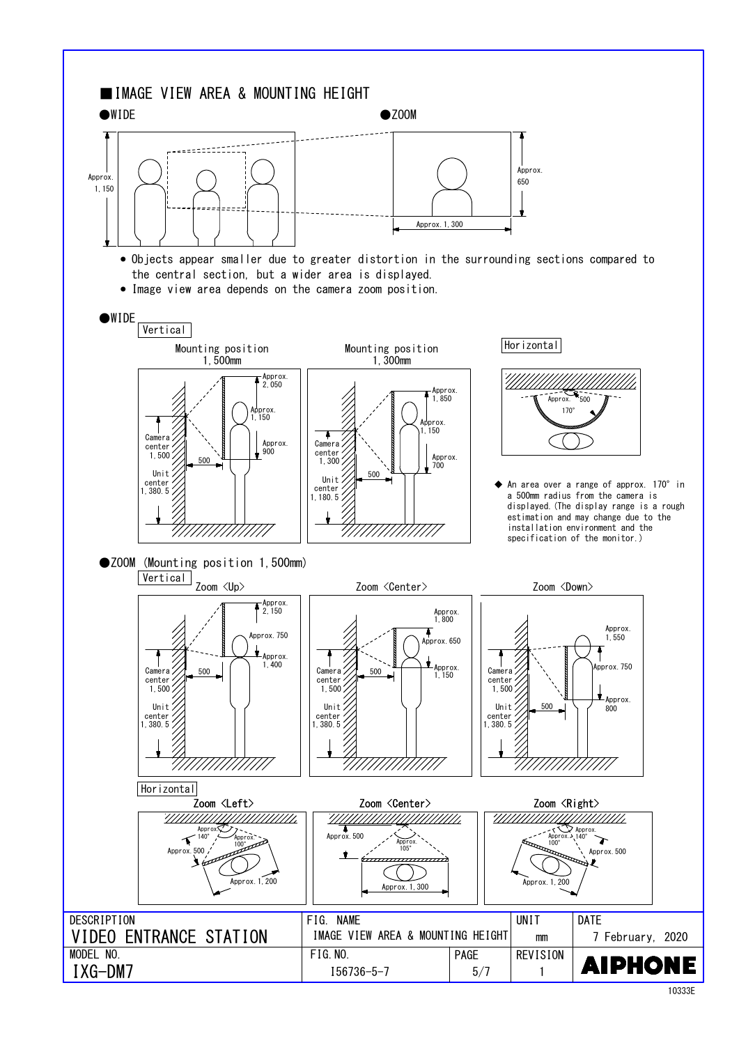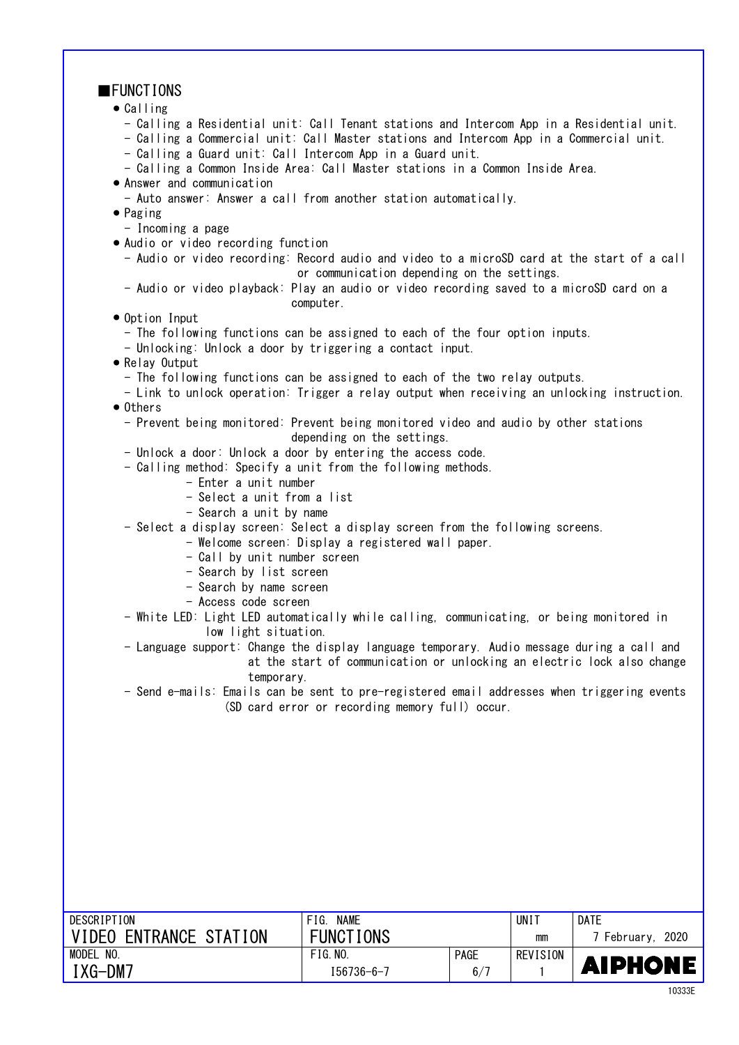| <b>FUNCTIONS</b>                                                                                                                                                                       |                                                                         |             |                 |                  |
|----------------------------------------------------------------------------------------------------------------------------------------------------------------------------------------|-------------------------------------------------------------------------|-------------|-----------------|------------------|
| $\bullet$ Calling                                                                                                                                                                      |                                                                         |             |                 |                  |
| - Calling a Residential unit: Call Tenant stations and Intercom App in a Residential unit.<br>- Calling a Commercial unit: Call Master stations and Intercom App in a Commercial unit. |                                                                         |             |                 |                  |
| - Calling a Guard unit: Call Intercom App in a Guard unit.                                                                                                                             |                                                                         |             |                 |                  |
| - Calling a Common Inside Area: Call Master stations in a Common Inside Area.<br>• Answer and communication                                                                            |                                                                         |             |                 |                  |
| - Auto answer: Answer a call from another station automatically.                                                                                                                       |                                                                         |             |                 |                  |
| $\bullet$ Paging                                                                                                                                                                       |                                                                         |             |                 |                  |
| - Incoming a page                                                                                                                                                                      |                                                                         |             |                 |                  |
| . Audio or video recording function                                                                                                                                                    |                                                                         |             |                 |                  |
| - Audio or video recording: Record audio and video to a microSD card at the start of a call                                                                                            | or communication depending on the settings.                             |             |                 |                  |
| - Audio or video playback: Play an audio or video recording saved to a microSD card on a                                                                                               | computer.                                                               |             |                 |                  |
| • Option Input                                                                                                                                                                         |                                                                         |             |                 |                  |
| - The following functions can be assigned to each of the four option inputs.                                                                                                           |                                                                         |             |                 |                  |
| - Unlocking: Unlock a door by triggering a contact input.                                                                                                                              |                                                                         |             |                 |                  |
| • Relay Output                                                                                                                                                                         |                                                                         |             |                 |                  |
| - The following functions can be assigned to each of the two relay outputs.                                                                                                            |                                                                         |             |                 |                  |
| - Link to unlock operation: Trigger a relay output when receiving an unlocking instruction.<br>$\bullet$ Others                                                                        |                                                                         |             |                 |                  |
| - Prevent being monitored: Prevent being monitored video and audio by other stations                                                                                                   | depending on the settings.                                              |             |                 |                  |
| - Unlock a door: Unlock a door by entering the access code.                                                                                                                            |                                                                         |             |                 |                  |
| - Calling method: Specify a unit from the following methods.                                                                                                                           |                                                                         |             |                 |                  |
| - Enter a unit number<br>- Select a unit from a list                                                                                                                                   |                                                                         |             |                 |                  |
| - Search a unit by name                                                                                                                                                                |                                                                         |             |                 |                  |
| - Select a display screen: Select a display screen from the following screens.                                                                                                         |                                                                         |             |                 |                  |
|                                                                                                                                                                                        | - Welcome screen: Display a registered wall paper.                      |             |                 |                  |
| - Call by unit number screen                                                                                                                                                           |                                                                         |             |                 |                  |
| - Search by list screen                                                                                                                                                                |                                                                         |             |                 |                  |
| - Search by name screen                                                                                                                                                                |                                                                         |             |                 |                  |
| - Access code screen                                                                                                                                                                   |                                                                         |             |                 |                  |
| - White LED: Light LED automatically while calling, communicating, or being monitored in<br>low light situation.                                                                       |                                                                         |             |                 |                  |
| - Language support: Change the display language temporary. Audio message during a call and                                                                                             |                                                                         |             |                 |                  |
|                                                                                                                                                                                        | at the start of communication or unlocking an electric lock also change |             |                 |                  |
| temporary.                                                                                                                                                                             |                                                                         |             |                 |                  |
| - Send e-mails: Emails can be sent to pre-registered email addresses when triggering events                                                                                            |                                                                         |             |                 |                  |
|                                                                                                                                                                                        | (SD card error or recording memory full) occur.                         |             |                 |                  |
|                                                                                                                                                                                        |                                                                         |             |                 |                  |
|                                                                                                                                                                                        |                                                                         |             |                 |                  |
|                                                                                                                                                                                        |                                                                         |             |                 |                  |
|                                                                                                                                                                                        |                                                                         |             |                 |                  |
|                                                                                                                                                                                        |                                                                         |             |                 |                  |
|                                                                                                                                                                                        |                                                                         |             |                 |                  |
|                                                                                                                                                                                        |                                                                         |             |                 |                  |
|                                                                                                                                                                                        |                                                                         |             |                 |                  |
|                                                                                                                                                                                        |                                                                         |             |                 |                  |
|                                                                                                                                                                                        |                                                                         |             |                 |                  |
|                                                                                                                                                                                        |                                                                         |             |                 |                  |
|                                                                                                                                                                                        |                                                                         |             |                 |                  |
| <b>DESCRIPTION</b>                                                                                                                                                                     | FIG. NAME                                                               |             | <b>UNIT</b>     | <b>DATE</b>      |
| VIDEO ENTRANCE STATION                                                                                                                                                                 | <b>FUNCTIONS</b>                                                        |             | mm              | 7 February, 2020 |
| MODEL NO.                                                                                                                                                                              | FIG. NO.                                                                | <b>PAGE</b> | <b>REVISION</b> |                  |
| IXG-DM7                                                                                                                                                                                | $I56736 - 6 - 7$                                                        | 6/7         | 1               | AIPHONE          |